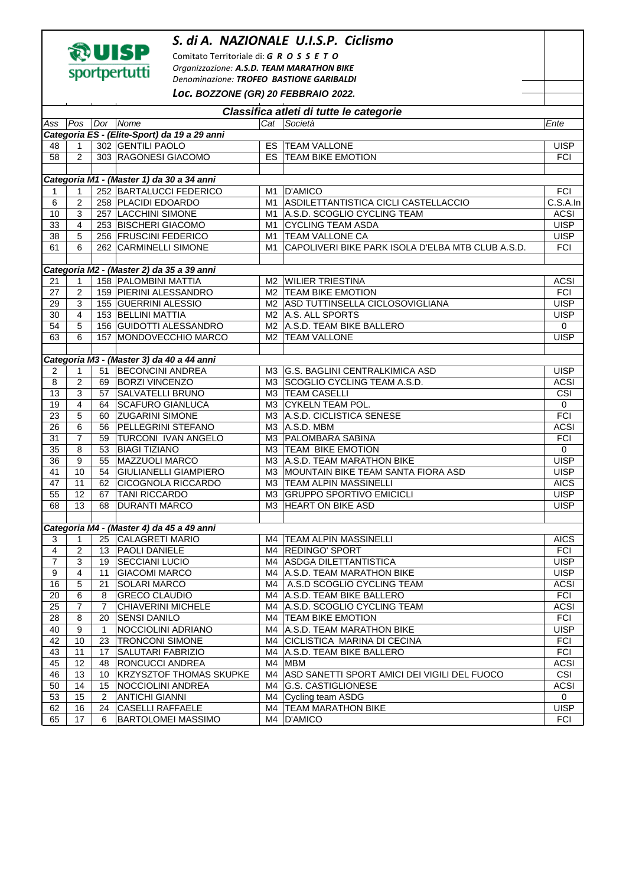

*S. di A. NAZIONALE U.I.S.P. Ciclismo* Comitato Territoriale di: *G R O S S E T O Organizzazione: A.S.D. TEAM MARATHON BIKE Denominazione: TROFEO BASTIONE GARIBALDI Loc.* **BOZZONE (GR) 20 FEBBRAIO 2022.** 

| Classifica atleti di tutte le categorie   |                |             |                                              |    |                                                   |                         |  |  |  |  |
|-------------------------------------------|----------------|-------------|----------------------------------------------|----|---------------------------------------------------|-------------------------|--|--|--|--|
|                                           |                |             | Ass   Pos   Dor   Nome                       |    | Cat Società                                       | Ente                    |  |  |  |  |
|                                           |                |             | Categoria ES - (Elite-Sport) da 19 a 29 anni |    |                                                   |                         |  |  |  |  |
| 48                                        | $\mathbf{1}$   |             | 302 GENTILI PAOLO                            |    | ES TEAM VALLONE                                   | <b>UISP</b>             |  |  |  |  |
| 58                                        | $\overline{2}$ |             | 303 RAGONESI GIACOMO                         |    | ES TEAM BIKE EMOTION                              | <b>FCI</b>              |  |  |  |  |
|                                           |                |             |                                              |    |                                                   |                         |  |  |  |  |
| Categoria M1 - (Master 1) da 30 a 34 anni |                |             |                                              |    |                                                   |                         |  |  |  |  |
| 1                                         | 1              |             | 252 BARTALUCCI FEDERICO                      | M1 | D'AMICO                                           | <b>FCI</b>              |  |  |  |  |
| 6                                         | $\overline{2}$ |             | 258 PLACIDI EDOARDO                          |    | M1 ASDILETTANTISTICA CICLI CASTELLACCIO           | $C.S.A.$ In             |  |  |  |  |
| 10                                        | 3              |             | 257 LACCHINI SIMONE                          |    | M1 A.S.D. SCOGLIO CYCLING TEAM                    | <b>ACSI</b>             |  |  |  |  |
| 33                                        | $\overline{4}$ |             | 253 BISCHERI GIACOMO                         |    | M1 CYCLING TEAM ASDA                              | <b>UISP</b>             |  |  |  |  |
| 38                                        | 5              |             | 256 FRUSCINI FEDERICO                        |    | M1 TEAM VALLONE CA                                | <b>UISP</b>             |  |  |  |  |
| 61                                        | 6              |             | 262 CARMINELLI SIMONE                        | M1 | CAPOLIVERI BIKE PARK ISOLA D'ELBA MTB CLUB A.S.D. | <b>FCI</b>              |  |  |  |  |
|                                           |                |             |                                              |    |                                                   |                         |  |  |  |  |
|                                           |                |             | Categoria M2 - (Master 2) da 35 a 39 anni    |    |                                                   |                         |  |  |  |  |
| 21                                        | $\mathbf{1}$   |             | 158 PALOMBINI MATTIA                         |    | M2 WILIER TRIESTINA                               | <b>ACSI</b>             |  |  |  |  |
| $\overline{27}$                           | $\overline{2}$ |             | 159 PIERINI ALESSANDRO                       |    | M2 TEAM BIKE EMOTION                              | FCI                     |  |  |  |  |
| 29                                        | 3              |             | 155 GUERRINI ALESSIO                         |    | M2 ASD TUTTINSELLA CICLOSOVIGLIANA                | <b>UISP</b>             |  |  |  |  |
| $\overline{30}$                           | $\overline{4}$ |             | 153 BELLINI MATTIA                           |    | M2 A.S. ALL SPORTS                                | <b>UISP</b>             |  |  |  |  |
| $\overline{54}$                           | 5              |             | 156 GUIDOTTI ALESSANDRO                      |    | M2 A.S.D. TEAM BIKE BALLERO                       | $\mathbf 0$             |  |  |  |  |
| 63                                        | 6              |             | 157 MONDOVECCHIO MARCO                       |    | M2 TEAM VALLONE                                   | <b>UISP</b>             |  |  |  |  |
|                                           |                |             |                                              |    |                                                   |                         |  |  |  |  |
|                                           |                |             | Categoria M3 - (Master 3) da 40 a 44 anni    |    |                                                   |                         |  |  |  |  |
| 2                                         | 1              |             | 51 BECONCINI ANDREA                          |    | M3 G.S. BAGLINI CENTRALKIMICA ASD                 | <b>UISP</b>             |  |  |  |  |
| $\overline{\mathbf{8}}$                   | $\overline{c}$ |             | 69 BORZI VINCENZO                            |    | M3 SCOGLIO CYCLING TEAM A.S.D.                    | <b>ACSI</b>             |  |  |  |  |
| $\overline{13}$                           | $\overline{3}$ |             | 57 SALVATELLI BRUNO                          |    | M3 TEAM CASELLI                                   | $\overline{\text{CSI}}$ |  |  |  |  |
| 19                                        | $\overline{4}$ |             | 64 SCAFURO GIANLUCA                          |    | M3 CYKELN TEAM POL.                               | $\Omega$                |  |  |  |  |
| $\overline{23}$                           | 5              |             | 60 ZUGARINI SIMONE                           |    | M3 A.S.D. CICLISTICA SENESE                       | <b>FCI</b>              |  |  |  |  |
| 26                                        | 6              |             | 56 PELLEGRINI STEFANO                        |    | M3 A.S.D. MBM                                     | <b>ACSI</b>             |  |  |  |  |
| 31                                        | $\overline{7}$ | 59          | <b>TURCONI IVAN ANGELO</b>                   |    | M3 PALOMBARA SABINA                               | FCI                     |  |  |  |  |
| 35                                        | 8              | 53          | <b>BIAGI TIZIANO</b>                         |    | M3 TEAM BIKE EMOTION                              | $\Omega$                |  |  |  |  |
| 36                                        | 9              | 55          | <b>MAZZUOLI MARCO</b>                        |    | M3 A.S.D. TEAM MARATHON BIKE                      | <b>UISP</b>             |  |  |  |  |
| 41                                        | 10             | 54          | <b>GIULIANELLI GIAMPIERO</b>                 |    | M3 MOUNTAIN BIKE TEAM SANTA FIORA ASD             | <b>UISP</b>             |  |  |  |  |
| 47                                        | 11             | 62          | CICOGNOLA RICCARDO                           |    | M3   TEAM ALPIN MASSINELLI                        | <b>AICS</b>             |  |  |  |  |
| 55                                        | 12             | 67          | <b>TANI RICCARDO</b>                         |    | M3 GRUPPO SPORTIVO EMICICLI                       | <b>UISP</b>             |  |  |  |  |
| 68                                        | 13             | 68          | <b>DURANTI MARCO</b>                         |    | M3 HEART ON BIKE ASD                              | <b>UISP</b>             |  |  |  |  |
|                                           |                |             |                                              |    |                                                   |                         |  |  |  |  |
|                                           |                |             | Categoria M4 - (Master 4) da 45 a 49 anni    |    |                                                   |                         |  |  |  |  |
| 3                                         | $\mathbf{1}$   |             | 25 CALAGRETI MARIO                           |    | M4   TEAM ALPIN MASSINELLI                        | <b>AICS</b>             |  |  |  |  |
| 4                                         | $\overline{2}$ |             | 13 PAOLI DANIELE                             |    | M4 REDINGO' SPORT                                 | <b>FCI</b>              |  |  |  |  |
| $\overline{7}$                            | $\mathsf 3$    |             | 19 SECCIANI LUCIO                            |    | M4 ASDGA DILETTANTISTICA                          | <b>UISP</b>             |  |  |  |  |
| 9                                         | $\overline{4}$ | 11          | <b>GIACOMI MARCO</b>                         |    | M4   A.S.D. TEAM MARATHON BIKE                    | <b>UISP</b>             |  |  |  |  |
| 16                                        | 5              | 21          | <b>SOLARI MARCO</b>                          | M4 | A.S.D SCOGLIO CYCLING TEAM                        | <b>ACSI</b>             |  |  |  |  |
| 20                                        | 6              | 8           | <b>GRECO CLAUDIO</b>                         |    | M4 A.S.D. TEAM BIKE BALLERO                       | <b>FCI</b>              |  |  |  |  |
| 25                                        | $\overline{7}$ | 7           | <b>CHIAVERINI MICHELE</b>                    |    | M4 A.S.D. SCOGLIO CYCLING TEAM                    | <b>ACSI</b>             |  |  |  |  |
| 28                                        | 8              | 20          | <b>SENSI DANILO</b>                          |    | M4 TEAM BIKE EMOTION                              | <b>FCI</b>              |  |  |  |  |
| 40                                        | 9              | $\mathbf 1$ | NOCCIOLINI ADRIANO                           | M4 | A.S.D. TEAM MARATHON BIKE                         | <b>UISP</b>             |  |  |  |  |
| 42                                        | 10             | 23          | <b>TRONCONI SIMONE</b>                       |    | M4 CICLISTICA MARINA DI CECINA                    | <b>FCI</b>              |  |  |  |  |
| 43                                        | 11             | 17          | <b>SALUTARI FABRIZIO</b>                     | M4 | A.S.D. TEAM BIKE BALLERO                          | <b>FCI</b>              |  |  |  |  |
| 45                                        | 12             | 48          | <b>RONCUCCI ANDREA</b>                       | M4 | <b>MBM</b>                                        | <b>ACSI</b>             |  |  |  |  |
| 46                                        | 13             | 10          | <b>KRZYSZTOF THOMAS SKUPKE</b>               | M4 | ASD SANETTI SPORT AMICI DEI VIGILI DEL FUOCO      | CSI                     |  |  |  |  |
| 50                                        | 14             | 15          | NOCCIOLINI ANDREA                            | M4 | <b>G.S. CASTIGLIONESE</b>                         | <b>ACSI</b>             |  |  |  |  |
| 53                                        | 15             | 2           | <b>ANTICHI GIANNI</b>                        |    | M4 Cycling team ASDG                              | $\mathbf{0}$            |  |  |  |  |
| 62                                        | 16             | 24          | <b>CASELLI RAFFAELE</b>                      | M4 | <b>TEAM MARATHON BIKE</b>                         | <b>UISP</b>             |  |  |  |  |
| 65                                        | 17             | 6           | <b>BARTOLOMEI MASSIMO</b>                    |    | M4 D'AMICO                                        | <b>FCI</b>              |  |  |  |  |